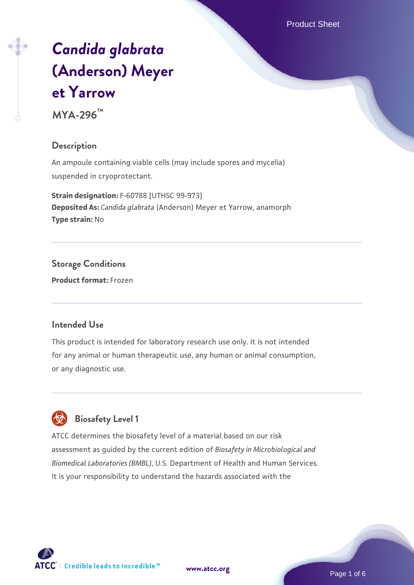Product Sheet

# *[Candida glabrata](https://www.atcc.org/products/mya-296)* **[\(Anderson\) Meyer](https://www.atcc.org/products/mya-296) [et Yarrow](https://www.atcc.org/products/mya-296) MYA-296™**

## **Description**

An ampoule containing viable cells (may include spores and mycelia) suspended in cryoprotectant.

**Strain designation:** F-60788 [UTHSC 99-973] **Deposited As:** *Candida glabrata* (Anderson) Meyer et Yarrow, anamorph **Type strain:** No

**Storage Conditions Product format:** Frozen

#### **Intended Use**

This product is intended for laboratory research use only. It is not intended for any animal or human therapeutic use, any human or animal consumption, or any diagnostic use.



# **Biosafety Level 1**

ATCC determines the biosafety level of a material based on our risk assessment as guided by the current edition of *Biosafety in Microbiological and Biomedical Laboratories (BMBL)*, U.S. Department of Health and Human Services. It is your responsibility to understand the hazards associated with the

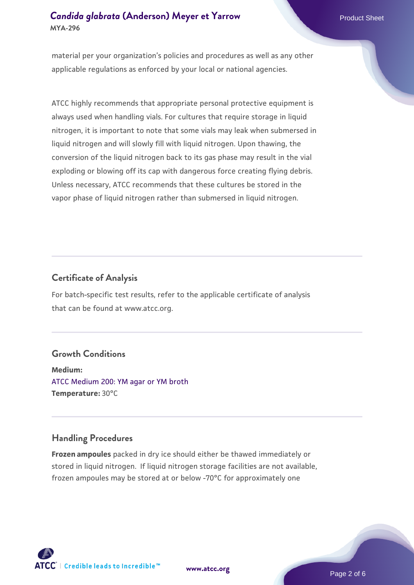## **[Candida glabrata](https://www.atcc.org/products/mya-296) [\(Anderson\) Meyer et Yarrow](https://www.atcc.org/products/mya-296) Product Sheet Product Sheet MYA-296**

material per your organization's policies and procedures as well as any other applicable regulations as enforced by your local or national agencies.

ATCC highly recommends that appropriate personal protective equipment is always used when handling vials. For cultures that require storage in liquid nitrogen, it is important to note that some vials may leak when submersed in liquid nitrogen and will slowly fill with liquid nitrogen. Upon thawing, the conversion of the liquid nitrogen back to its gas phase may result in the vial exploding or blowing off its cap with dangerous force creating flying debris. Unless necessary, ATCC recommends that these cultures be stored in the vapor phase of liquid nitrogen rather than submersed in liquid nitrogen.

### **Certificate of Analysis**

For batch-specific test results, refer to the applicable certificate of analysis that can be found at www.atcc.org.

#### **Growth Conditions**

**Medium:**  [ATCC Medium 200: YM agar or YM broth](https://www.atcc.org/-/media/product-assets/documents/microbial-media-formulations/2/0/0/atcc-medium-200.pdf?rev=ac40fd74dc13433a809367b0b9da30fc) **Temperature:** 30°C

# **Handling Procedures**

**Frozen ampoules** packed in dry ice should either be thawed immediately or stored in liquid nitrogen. If liquid nitrogen storage facilities are not available, frozen ampoules may be stored at or below -70°C for approximately one



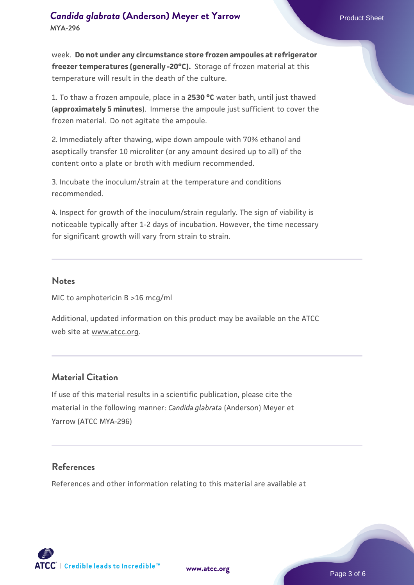week. **Do not under any circumstance store frozen ampoules at refrigerator freezer temperatures (generally -20°C).** Storage of frozen material at this temperature will result in the death of the culture.

1. To thaw a frozen ampoule, place in a **2530 °C** water bath, until just thawed (**approximately 5 minutes**). Immerse the ampoule just sufficient to cover the frozen material. Do not agitate the ampoule.

2. Immediately after thawing, wipe down ampoule with 70% ethanol and aseptically transfer 10 microliter (or any amount desired up to all) of the content onto a plate or broth with medium recommended.

3. Incubate the inoculum/strain at the temperature and conditions recommended.

4. Inspect for growth of the inoculum/strain regularly. The sign of viability is noticeable typically after 1-2 days of incubation. However, the time necessary for significant growth will vary from strain to strain.

#### **Notes**

MIC to amphotericin B >16 mcg/ml

Additional, updated information on this product may be available on the ATCC web site at www.atcc.org.

### **Material Citation**

If use of this material results in a scientific publication, please cite the material in the following manner: *Candida glabrata* (Anderson) Meyer et Yarrow (ATCC MYA-296)

#### **References**

References and other information relating to this material are available at

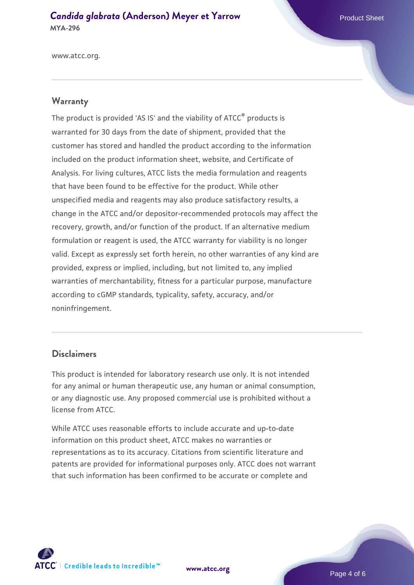**[Candida glabrata](https://www.atcc.org/products/mya-296) [\(Anderson\) Meyer et Yarrow](https://www.atcc.org/products/mya-296) Product Sheet Product Sheet MYA-296**

www.atcc.org.

#### **Warranty**

The product is provided 'AS IS' and the viability of ATCC® products is warranted for 30 days from the date of shipment, provided that the customer has stored and handled the product according to the information included on the product information sheet, website, and Certificate of Analysis. For living cultures, ATCC lists the media formulation and reagents that have been found to be effective for the product. While other unspecified media and reagents may also produce satisfactory results, a change in the ATCC and/or depositor-recommended protocols may affect the recovery, growth, and/or function of the product. If an alternative medium formulation or reagent is used, the ATCC warranty for viability is no longer valid. Except as expressly set forth herein, no other warranties of any kind are provided, express or implied, including, but not limited to, any implied warranties of merchantability, fitness for a particular purpose, manufacture according to cGMP standards, typicality, safety, accuracy, and/or noninfringement.

#### **Disclaimers**

This product is intended for laboratory research use only. It is not intended for any animal or human therapeutic use, any human or animal consumption, or any diagnostic use. Any proposed commercial use is prohibited without a license from ATCC.

While ATCC uses reasonable efforts to include accurate and up-to-date information on this product sheet, ATCC makes no warranties or representations as to its accuracy. Citations from scientific literature and patents are provided for informational purposes only. ATCC does not warrant that such information has been confirmed to be accurate or complete and



**[www.atcc.org](http://www.atcc.org)**

Page 4 of 6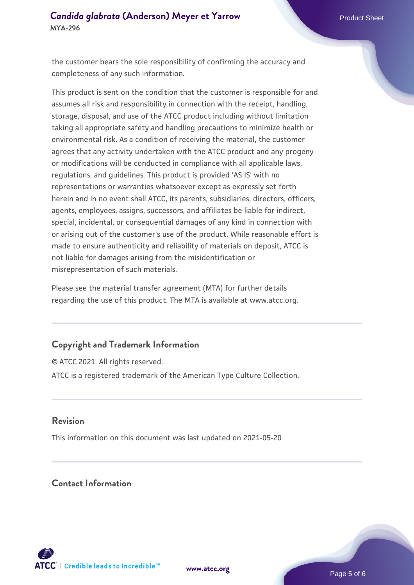the customer bears the sole responsibility of confirming the accuracy and completeness of any such information.

This product is sent on the condition that the customer is responsible for and assumes all risk and responsibility in connection with the receipt, handling, storage, disposal, and use of the ATCC product including without limitation taking all appropriate safety and handling precautions to minimize health or environmental risk. As a condition of receiving the material, the customer agrees that any activity undertaken with the ATCC product and any progeny or modifications will be conducted in compliance with all applicable laws, regulations, and guidelines. This product is provided 'AS IS' with no representations or warranties whatsoever except as expressly set forth herein and in no event shall ATCC, its parents, subsidiaries, directors, officers, agents, employees, assigns, successors, and affiliates be liable for indirect, special, incidental, or consequential damages of any kind in connection with or arising out of the customer's use of the product. While reasonable effort is made to ensure authenticity and reliability of materials on deposit, ATCC is not liable for damages arising from the misidentification or misrepresentation of such materials.

Please see the material transfer agreement (MTA) for further details regarding the use of this product. The MTA is available at www.atcc.org.

#### **Copyright and Trademark Information**

© ATCC 2021. All rights reserved. ATCC is a registered trademark of the American Type Culture Collection.

#### **Revision**

This information on this document was last updated on 2021-05-20

# **Contact Information**



**[www.atcc.org](http://www.atcc.org)**

Page 5 of 6